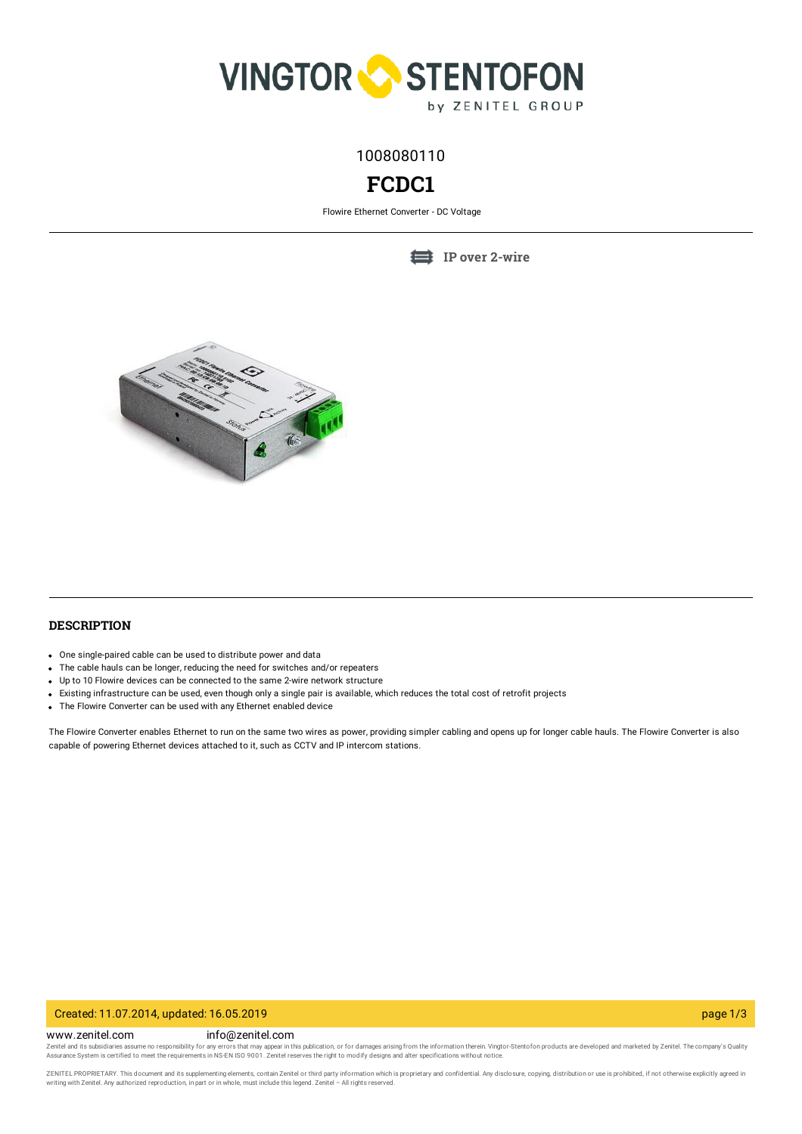

1008080110

# **FCDC1**

Flowire Ethernet Converter - DC Voltage

**IP over [2-wire](https://www.zenitel.com/technology/network/ip-over-2-wire)**



# **DESCRIPTION**

- One single-paired cable can be used to distribute power and data
- The cable hauls can be longer, reducing the need for switches and/or repeaters
- Up to 10 Flowire devices can be connected to the same 2-wire network structure
- Existing infrastructure can be used, even though only a single pair is available, which reduces the total cost of retrofit projects
- The Flowire Converter can be used with any Ethernet enabled device

The Flowire Converter enables Ethernet to run on the same two wires as power, providing simpler cabling and opens up for longer cable hauls. The Flowire Converter is also capable of powering Ethernet devices attached to it, such as CCTV and IP intercom stations.

### Created: 11.07.2014, updated: 16.05.2019 page 1/3

www.zenitel.com info@zenitel.com

Zenitel and its subsidiaries assume no responsibility for any errors that may appear in this publication, or for damages arising from the information therein. Vingtor-Stentofon products are developed and marketed by Zenite

ZENITEL PROPRIETARY. This document and its supplementing elements, contain Zenitel or third party information which is proprietary and confidential. Any disclosure, copying, distribution or use is prohibited, if not otherw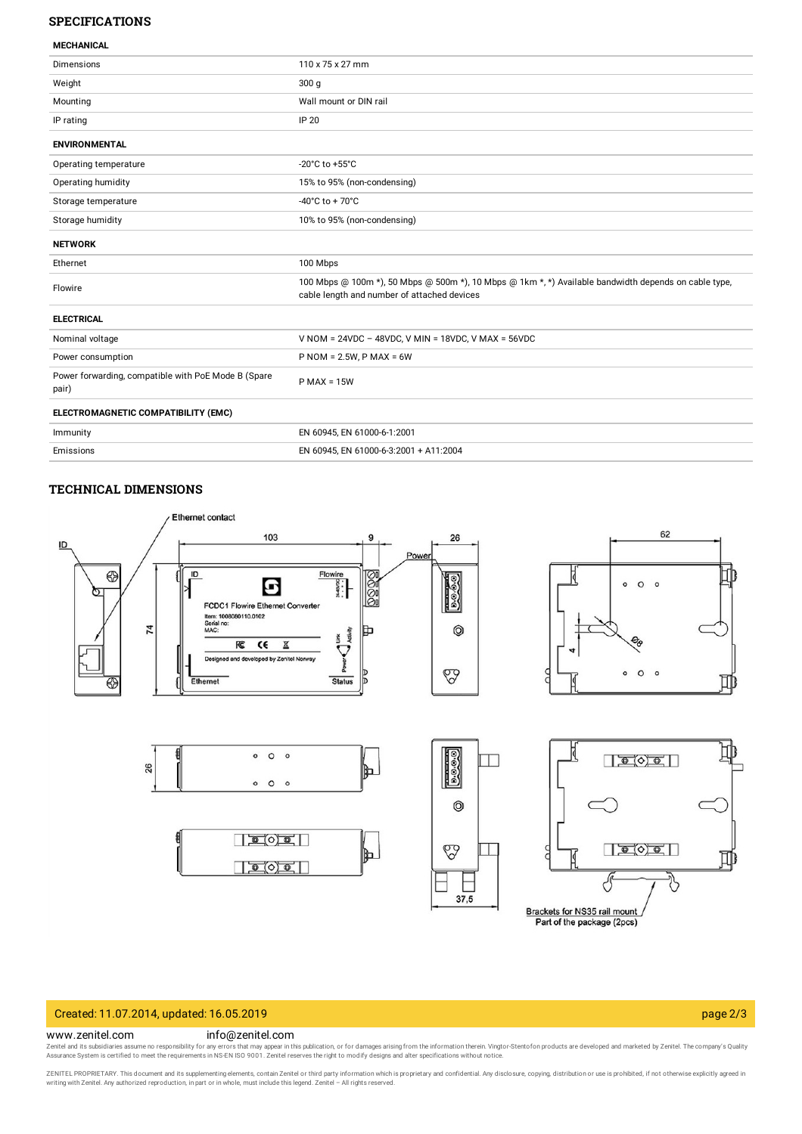# **SPECIFICATIONS**

| <b>MECHANICAL</b> |  |
|-------------------|--|
|                   |  |

| <b>Dimensions</b>                                            | 110 x 75 x 27 mm                                                                                                                                     |
|--------------------------------------------------------------|------------------------------------------------------------------------------------------------------------------------------------------------------|
| Weight                                                       | 300 <sub>g</sub>                                                                                                                                     |
| Mounting                                                     | Wall mount or DIN rail                                                                                                                               |
| IP rating                                                    | IP 20                                                                                                                                                |
| <b>ENVIRONMENTAL</b>                                         |                                                                                                                                                      |
| Operating temperature                                        | -20°C to +55°C                                                                                                                                       |
| Operating humidity                                           | 15% to 95% (non-condensing)                                                                                                                          |
| Storage temperature                                          | $-40^{\circ}$ C to + 70 $^{\circ}$ C                                                                                                                 |
| Storage humidity                                             | 10% to 95% (non-condensing)                                                                                                                          |
| <b>NETWORK</b>                                               |                                                                                                                                                      |
| Ethernet                                                     | 100 Mbps                                                                                                                                             |
| Flowire                                                      | 100 Mbps @ 100m *), 50 Mbps @ 500m *), 10 Mbps @ 1km *, *) Available bandwidth depends on cable type,<br>cable length and number of attached devices |
| <b>ELECTRICAL</b>                                            |                                                                                                                                                      |
| Nominal voltage                                              | V NOM = $24VDC - 48VDC$ , V MIN = $18VDC$ , V MAX = $56VDC$                                                                                          |
| Power consumption                                            | $P NOM = 2.5W, P MAX = 6W$                                                                                                                           |
| Power forwarding, compatible with PoE Mode B (Spare<br>pair) | $P$ MAX = 15W                                                                                                                                        |
| ELECTROMAGNETIC COMPATIBILITY (EMC)                          |                                                                                                                                                      |
| Immunity                                                     | EN 60945, EN 61000-6-1:2001                                                                                                                          |
| Emissions                                                    | EN 60945, EN 61000-6-3:2001 + A11:2004                                                                                                               |

### **TECHNICAL DIMENSIONS**



# Created: 11.07.2014, updated: 16.05.2019 page 2/3

#### www.zenitel.com info@zenitel.com

Zenitel and its subsidiaries assume no responsibility for any errors that may appear in this publication, or for damages arising from the information therein. Vingtor-Stentofon products are developed and marketed by Zenite

ZENITEL PROPRIETARY. This document and its supplementing elements, contain Zenitel or third party information which is proprietary and confidential. Any disclosure, copying, distribution or use is prohibited, if not otherw